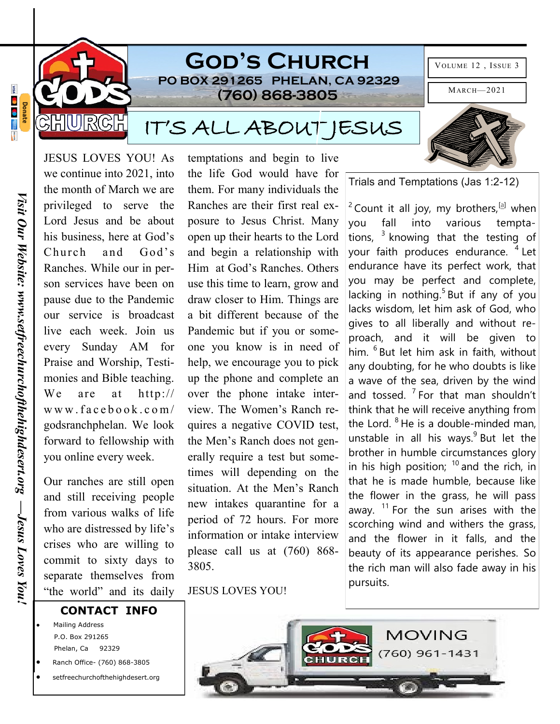

Ranches. While our in person services have been on pause due to the Pandemic our service is broadcast live each week. Join us every Sunday AM for Praise and Worship, Testimonies and Bible teaching. We are at http:// w w w . f a c e b o o k . c o m / godsranchphelan. We look forward to fellowship with you online every week.

Our ranches are still open and still receiving people from various walks of life who are distressed by life's crises who are willing to commit to sixty days to separate themselves from "the world" and its daily

Him at God's Ranches. Others use this time to learn, grow and draw closer to Him. Things are a bit different because of the Pandemic but if you or someone you know is in need of help, we encourage you to pick up the phone and complete an over the phone intake interview. The Women's Ranch requires a negative COVID test, the Men's Ranch does not generally require a test but sometimes will depending on the situation. At the Men's Ranch new intakes quarantine for a period of 72 hours. For more information or intake interview please call us at (760) 868- 3805.

JESUS LOVES YOU!

you fall into various temptations,  $3$  knowing that the testing of your faith produces endurance. <sup>4</sup> Let endurance have its perfect work, that you may be perfect and complete, lacking in nothing.<sup>5</sup> But if any of you lacks wisdom, let him ask of God, who gives to all liberally and without reproach, and it will be given to him. <sup>6</sup> But let him ask in faith, without any doubting, for he who doubts is like a wave of the sea, driven by the wind and tossed.  $7$  For that man shouldn't think that he will receive anything from the Lord.  $8$  He is a double-minded man, unstable in all his ways. $9$  But let the brother in humble circumstances glory in his high position;  $10$  and the rich, in that he is made humble, because like the flower in the grass, he will pass away.  $11$  For the sun arises with the scorching wind and withers the grass, and the flower in it falls, and the beauty of its appearance perishes. So the rich man will also fade away in his pursuits.

## **CONTACT INFO**

- Mailing Address P.O. Box 291265 Phelan, Ca 92329
- Ranch Office- (760) 868-3805
- setfreechurchofthehighdesert.org